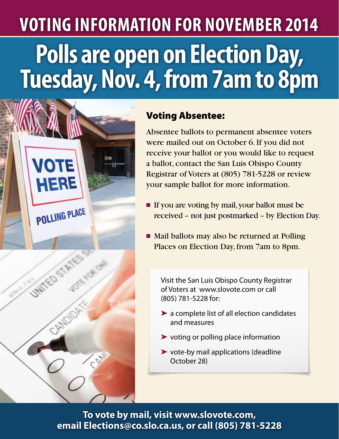## **Polls are open on Election Day, Tuesday, Nov. 4, from 7am to 8pm Voting Information for November 2014**



## Voting Absentee:

Absentee ballots to permanent absentee voters were mailed out on October 6. If you did not receive your ballot or you would like to request a ballot, contact the San Luis Obispo County Registrar of Voters at (805) 781-5228 or review your sample ballot for more information.

- If you are voting by mail, your ballot must be received – not just postmarked – by Election Day.
- Mail ballots may also be returned at Polling Places on Election Day, from 7am to 8pm.

Visit the San Luis Obispo County Registrar of Voters at www.slovote.com or call (805) 781-5228 for:

- ➤ a complete list of all election candidates and measures
- ➤ voting or polling place information
- ➤ vote-by mail applications (deadline October 28)

**To vote by mail, visit www.slovote.com, email Elections@co.slo.ca.us, or call (805) 781-5228**